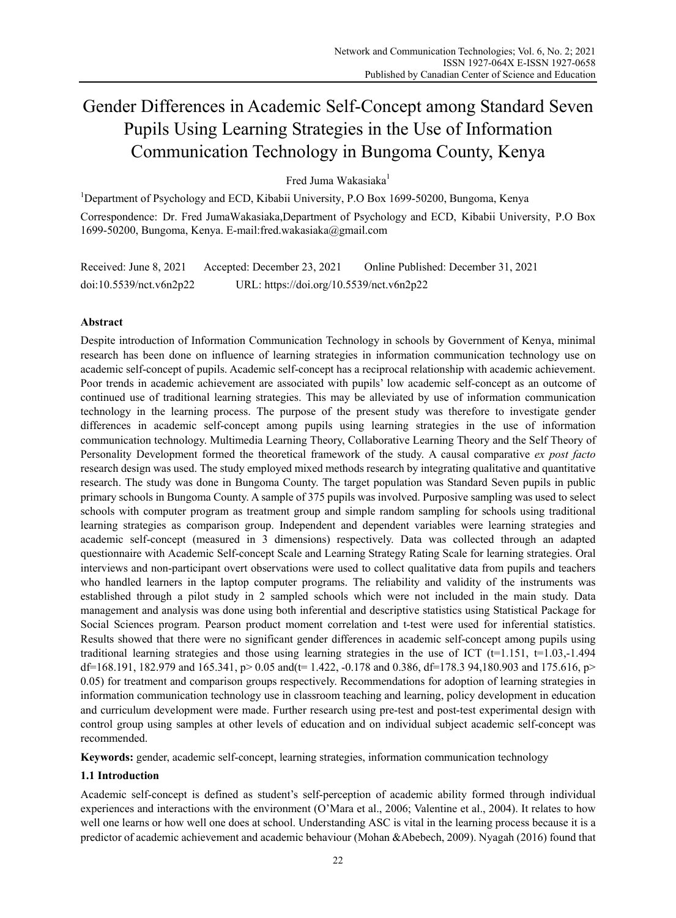# Gender Differences in Academic Self-Concept among Standard Seven Pupils Using Learning Strategies in the Use of Information Communication Technology in Bungoma County, Kenya

Fred Juma Wakasiaka<sup>1</sup>

<sup>1</sup>Department of Psychology and ECD, Kibabii University, P.O Box 1699-50200, Bungoma, Kenya Correspondence: Dr. Fred JumaWakasiaka,Department of Psychology and ECD, Kibabii University, P.O Box 1699-50200, Bungoma, Kenya. E-mail:fred.wakasiaka@gmail.com

Received: June 8, 2021 Accepted: December 23, 2021 Online Published: December 31, 2021 doi:10.5539/nct.v6n2p22 URL: https://doi.org/10.5539/nct.v6n2p22

## **Abstract**

Despite introduction of Information Communication Technology in schools by Government of Kenya, minimal research has been done on influence of learning strategies in information communication technology use on academic self-concept of pupils. Academic self-concept has a reciprocal relationship with academic achievement. Poor trends in academic achievement are associated with pupils' low academic self-concept as an outcome of continued use of traditional learning strategies. This may be alleviated by use of information communication technology in the learning process. The purpose of the present study was therefore to investigate gender differences in academic self-concept among pupils using learning strategies in the use of information communication technology. Multimedia Learning Theory, Collaborative Learning Theory and the Self Theory of Personality Development formed the theoretical framework of the study. A causal comparative *ex post facto* research design was used. The study employed mixed methods research by integrating qualitative and quantitative research. The study was done in Bungoma County. The target population was Standard Seven pupils in public primary schools in Bungoma County. A sample of 375 pupils was involved. Purposive sampling was used to select schools with computer program as treatment group and simple random sampling for schools using traditional learning strategies as comparison group. Independent and dependent variables were learning strategies and academic self-concept (measured in 3 dimensions) respectively. Data was collected through an adapted questionnaire with Academic Self-concept Scale and Learning Strategy Rating Scale for learning strategies. Oral interviews and non-participant overt observations were used to collect qualitative data from pupils and teachers who handled learners in the laptop computer programs. The reliability and validity of the instruments was established through a pilot study in 2 sampled schools which were not included in the main study. Data management and analysis was done using both inferential and descriptive statistics using Statistical Package for Social Sciences program. Pearson product moment correlation and t-test were used for inferential statistics. Results showed that there were no significant gender differences in academic self-concept among pupils using traditional learning strategies and those using learning strategies in the use of ICT ( $t=1.151$ ,  $t=1.03$ ,-1.494 df=168.191, 182.979 and 165.341, p> 0.05 and(t= 1.422, -0.178 and 0.386, df=178.3 94,180.903 and 175.616, p> 0.05) for treatment and comparison groups respectively. Recommendations for adoption of learning strategies in information communication technology use in classroom teaching and learning, policy development in education and curriculum development were made. Further research using pre-test and post-test experimental design with control group using samples at other levels of education and on individual subject academic self-concept was recommended.

**Keywords:** gender, academic self-concept, learning strategies, information communication technology

## **1.1 Introduction**

Academic self-concept is defined as student's self-perception of academic ability formed through individual experiences and interactions with the environment (O'Mara et al., 2006; Valentine et al., 2004). It relates to how well one learns or how well one does at school. Understanding ASC is vital in the learning process because it is a predictor of academic achievement and academic behaviour (Mohan &Abebech, 2009). Nyagah (2016) found that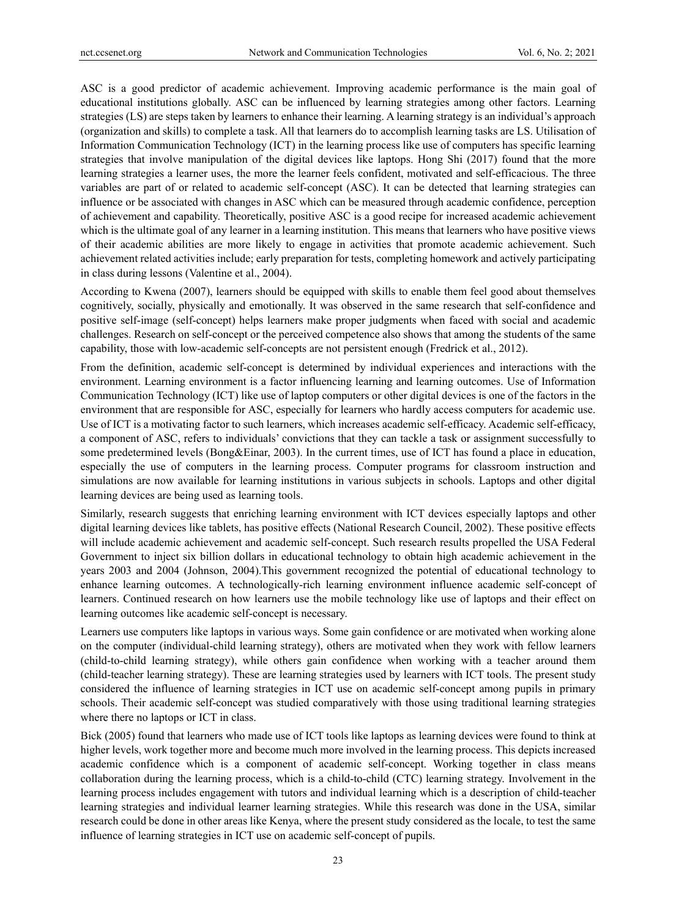ASC is a good predictor of academic achievement. Improving academic performance is the main goal of educational institutions globally. ASC can be influenced by learning strategies among other factors. Learning strategies (LS) are steps taken by learners to enhance their learning. A learning strategy is an individual's approach (organization and skills) to complete a task. All that learners do to accomplish learning tasks are LS. Utilisation of Information Communication Technology (ICT) in the learning process like use of computers has specific learning strategies that involve manipulation of the digital devices like laptops. Hong Shi (2017) found that the more learning strategies a learner uses, the more the learner feels confident, motivated and self-efficacious. The three variables are part of or related to academic self-concept (ASC). It can be detected that learning strategies can influence or be associated with changes in ASC which can be measured through academic confidence, perception of achievement and capability. Theoretically, positive ASC is a good recipe for increased academic achievement which is the ultimate goal of any learner in a learning institution. This means that learners who have positive views of their academic abilities are more likely to engage in activities that promote academic achievement. Such achievement related activities include; early preparation for tests, completing homework and actively participating in class during lessons (Valentine et al., 2004).

According to Kwena (2007), learners should be equipped with skills to enable them feel good about themselves cognitively, socially, physically and emotionally. It was observed in the same research that self-confidence and positive self-image (self-concept) helps learners make proper judgments when faced with social and academic challenges. Research on self-concept or the perceived competence also shows that among the students of the same capability, those with low-academic self-concepts are not persistent enough (Fredrick et al., 2012).

From the definition, academic self-concept is determined by individual experiences and interactions with the environment. Learning environment is a factor influencing learning and learning outcomes. Use of Information Communication Technology (ICT) like use of laptop computers or other digital devices is one of the factors in the environment that are responsible for ASC, especially for learners who hardly access computers for academic use. Use of ICT is a motivating factor to such learners, which increases academic self-efficacy. Academic self-efficacy, a component of ASC, refers to individuals' convictions that they can tackle a task or assignment successfully to some predetermined levels (Bong&Einar, 2003). In the current times, use of ICT has found a place in education, especially the use of computers in the learning process. Computer programs for classroom instruction and simulations are now available for learning institutions in various subjects in schools. Laptops and other digital learning devices are being used as learning tools.

Similarly, research suggests that enriching learning environment with ICT devices especially laptops and other digital learning devices like tablets, has positive effects (National Research Council, 2002). These positive effects will include academic achievement and academic self-concept. Such research results propelled the USA Federal Government to inject six billion dollars in educational technology to obtain high academic achievement in the years 2003 and 2004 (Johnson, 2004).This government recognized the potential of educational technology to enhance learning outcomes. A technologically-rich learning environment influence academic self-concept of learners. Continued research on how learners use the mobile technology like use of laptops and their effect on learning outcomes like academic self-concept is necessary.

Learners use computers like laptops in various ways. Some gain confidence or are motivated when working alone on the computer (individual-child learning strategy), others are motivated when they work with fellow learners (child-to-child learning strategy), while others gain confidence when working with a teacher around them (child-teacher learning strategy). These are learning strategies used by learners with ICT tools. The present study considered the influence of learning strategies in ICT use on academic self-concept among pupils in primary schools. Their academic self-concept was studied comparatively with those using traditional learning strategies where there no laptops or ICT in class.

Bick (2005) found that learners who made use of ICT tools like laptops as learning devices were found to think at higher levels, work together more and become much more involved in the learning process. This depicts increased academic confidence which is a component of academic self-concept. Working together in class means collaboration during the learning process, which is a child-to-child (CTC) learning strategy. Involvement in the learning process includes engagement with tutors and individual learning which is a description of child-teacher learning strategies and individual learner learning strategies. While this research was done in the USA, similar research could be done in other areas like Kenya, where the present study considered as the locale, to test the same influence of learning strategies in ICT use on academic self-concept of pupils.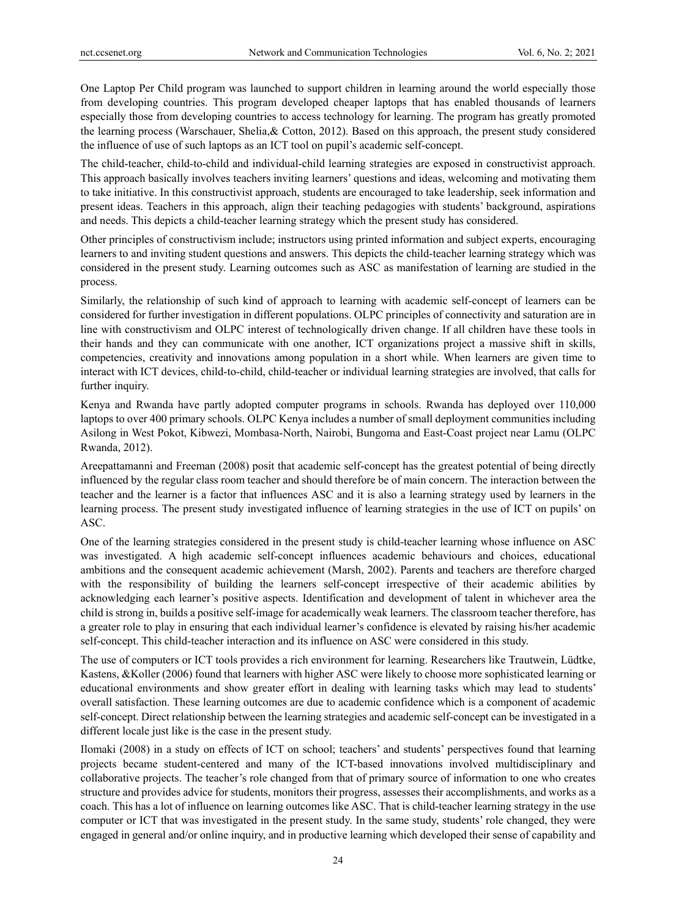One Laptop Per Child program was launched to support children in learning around the world especially those from developing countries. This program developed cheaper laptops that has enabled thousands of learners especially those from developing countries to access technology for learning. The program has greatly promoted the learning process (Warschauer, Shelia,& Cotton, 2012). Based on this approach, the present study considered the influence of use of such laptops as an ICT tool on pupil's academic self-concept.

The child-teacher, child-to-child and individual-child learning strategies are exposed in constructivist approach. This approach basically involves teachers inviting learners' questions and ideas, welcoming and motivating them to take initiative. In this constructivist approach, students are encouraged to take leadership, seek information and present ideas. Teachers in this approach, align their teaching pedagogies with students' background, aspirations and needs. This depicts a child-teacher learning strategy which the present study has considered.

Other principles of constructivism include; instructors using printed information and subject experts, encouraging learners to and inviting student questions and answers. This depicts the child-teacher learning strategy which was considered in the present study. Learning outcomes such as ASC as manifestation of learning are studied in the process.

Similarly, the relationship of such kind of approach to learning with academic self-concept of learners can be considered for further investigation in different populations. OLPC principles of connectivity and saturation are in line with constructivism and OLPC interest of technologically driven change. If all children have these tools in their hands and they can communicate with one another, ICT organizations project a massive shift in skills, competencies, creativity and innovations among population in a short while. When learners are given time to interact with ICT devices, child-to-child, child-teacher or individual learning strategies are involved, that calls for further inquiry.

Kenya and Rwanda have partly adopted computer programs in schools. Rwanda has deployed over 110,000 laptops to over 400 primary schools. OLPC Kenya includes a number of small deployment communities including Asilong in West Pokot, Kibwezi, Mombasa-North, Nairobi, Bungoma and East-Coast project near Lamu (OLPC Rwanda, 2012).

Areepattamanni and Freeman (2008) posit that academic self-concept has the greatest potential of being directly influenced by the regular class room teacher and should therefore be of main concern. The interaction between the teacher and the learner is a factor that influences ASC and it is also a learning strategy used by learners in the learning process. The present study investigated influence of learning strategies in the use of ICT on pupils' on ASC.

One of the learning strategies considered in the present study is child-teacher learning whose influence on ASC was investigated. A high academic self-concept influences academic behaviours and choices, educational ambitions and the consequent academic achievement (Marsh, 2002). Parents and teachers are therefore charged with the responsibility of building the learners self-concept irrespective of their academic abilities by acknowledging each learner's positive aspects. Identification and development of talent in whichever area the child is strong in, builds a positive self-image for academically weak learners. The classroom teacher therefore, has a greater role to play in ensuring that each individual learner's confidence is elevated by raising his/her academic self-concept. This child-teacher interaction and its influence on ASC were considered in this study.

The use of computers or ICT tools provides a rich environment for learning. Researchers like Trautwein, Lüdtke, Kastens, &Koller (2006) found that learners with higher ASC were likely to choose more sophisticated learning or educational environments and show greater effort in dealing with learning tasks which may lead to students' overall satisfaction. These learning outcomes are due to academic confidence which is a component of academic self-concept. Direct relationship between the learning strategies and academic self-concept can be investigated in a different locale just like is the case in the present study.

Ilomaki (2008) in a study on effects of ICT on school; teachers' and students' perspectives found that learning projects became student-centered and many of the ICT-based innovations involved multidisciplinary and collaborative projects. The teacher's role changed from that of primary source of information to one who creates structure and provides advice for students, monitors their progress, assesses their accomplishments, and works as a coach. This has a lot of influence on learning outcomes like ASC. That is child-teacher learning strategy in the use computer or ICT that was investigated in the present study. In the same study, students' role changed, they were engaged in general and/or online inquiry, and in productive learning which developed their sense of capability and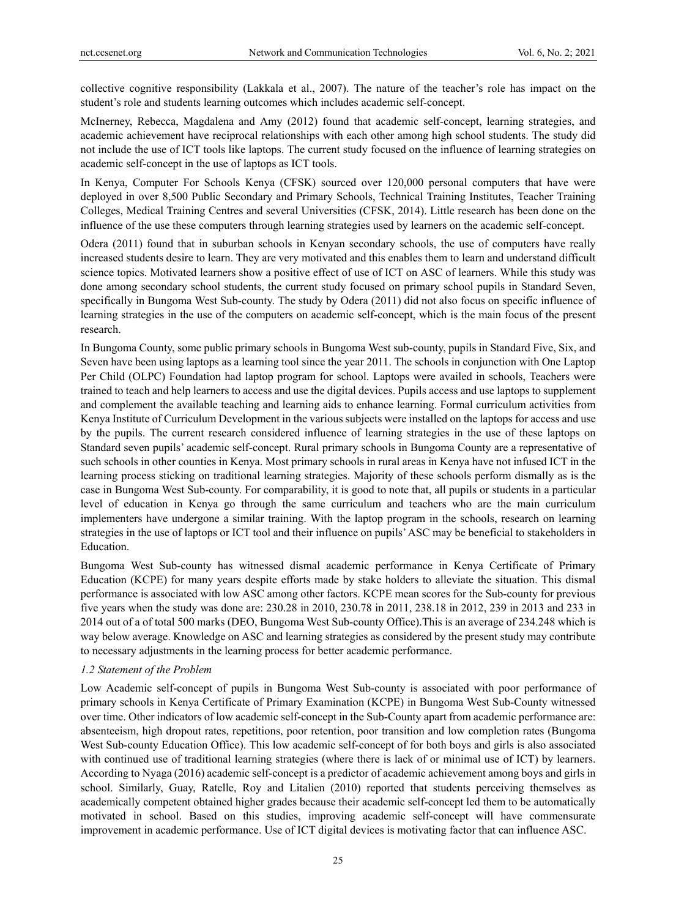collective cognitive responsibility (Lakkala et al., 2007). The nature of the teacher's role has impact on the student's role and students learning outcomes which includes academic self-concept.

McInerney, Rebecca, Magdalena and Amy (2012) found that academic self-concept, learning strategies, and academic achievement have reciprocal relationships with each other among high school students. The study did not include the use of ICT tools like laptops. The current study focused on the influence of learning strategies on academic self-concept in the use of laptops as ICT tools.

In Kenya, Computer For Schools Kenya (CFSK) sourced over 120,000 personal computers that have were deployed in over 8,500 Public Secondary and Primary Schools, Technical Training Institutes, Teacher Training Colleges, Medical Training Centres and several Universities (CFSK, 2014). Little research has been done on the influence of the use these computers through learning strategies used by learners on the academic self-concept.

Odera (2011) found that in suburban schools in Kenyan secondary schools, the use of computers have really increased students desire to learn. They are very motivated and this enables them to learn and understand difficult science topics. Motivated learners show a positive effect of use of ICT on ASC of learners. While this study was done among secondary school students, the current study focused on primary school pupils in Standard Seven, specifically in Bungoma West Sub-county. The study by Odera (2011) did not also focus on specific influence of learning strategies in the use of the computers on academic self-concept, which is the main focus of the present research.

In Bungoma County, some public primary schools in Bungoma West sub-county, pupils in Standard Five, Six, and Seven have been using laptops as a learning tool since the year 2011. The schools in conjunction with One Laptop Per Child (OLPC) Foundation had laptop program for school. Laptops were availed in schools, Teachers were trained to teach and help learners to access and use the digital devices. Pupils access and use laptops to supplement and complement the available teaching and learning aids to enhance learning. Formal curriculum activities from Kenya Institute of Curriculum Development in the various subjects were installed on the laptops for access and use by the pupils. The current research considered influence of learning strategies in the use of these laptops on Standard seven pupils' academic self-concept. Rural primary schools in Bungoma County are a representative of such schools in other counties in Kenya. Most primary schools in rural areas in Kenya have not infused ICT in the learning process sticking on traditional learning strategies. Majority of these schools perform dismally as is the case in Bungoma West Sub-county. For comparability, it is good to note that, all pupils or students in a particular level of education in Kenya go through the same curriculum and teachers who are the main curriculum implementers have undergone a similar training. With the laptop program in the schools, research on learning strategies in the use of laptops or ICT tool and their influence on pupils' ASC may be beneficial to stakeholders in Education.

Bungoma West Sub-county has witnessed dismal academic performance in Kenya Certificate of Primary Education (KCPE) for many years despite efforts made by stake holders to alleviate the situation. This dismal performance is associated with low ASC among other factors. KCPE mean scores for the Sub-county for previous five years when the study was done are: 230.28 in 2010, 230.78 in 2011, 238.18 in 2012, 239 in 2013 and 233 in 2014 out of a of total 500 marks (DEO, Bungoma West Sub-county Office).This is an average of 234.248 which is way below average. Knowledge on ASC and learning strategies as considered by the present study may contribute to necessary adjustments in the learning process for better academic performance.

## *1.2 Statement of the Problem*

Low Academic self-concept of pupils in Bungoma West Sub-county is associated with poor performance of primary schools in Kenya Certificate of Primary Examination (KCPE) in Bungoma West Sub-County witnessed over time. Other indicators of low academic self-concept in the Sub-County apart from academic performance are: absenteeism, high dropout rates, repetitions, poor retention, poor transition and low completion rates (Bungoma West Sub-county Education Office). This low academic self-concept of for both boys and girls is also associated with continued use of traditional learning strategies (where there is lack of or minimal use of ICT) by learners. According to Nyaga (2016) academic self-concept is a predictor of academic achievement among boys and girls in school. Similarly, Guay, Ratelle, Roy and Litalien (2010) reported that students perceiving themselves as academically competent obtained higher grades because their academic self-concept led them to be automatically motivated in school. Based on this studies, improving academic self-concept will have commensurate improvement in academic performance. Use of ICT digital devices is motivating factor that can influence ASC.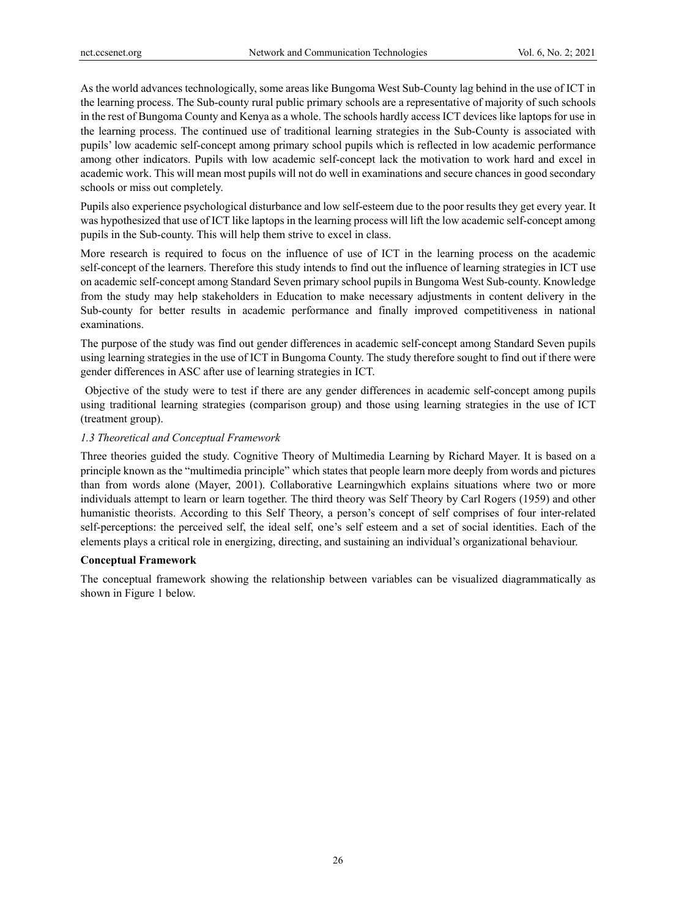As the world advances technologically, some areas like Bungoma West Sub-County lag behind in the use of ICT in the learning process. The Sub-county rural public primary schools are a representative of majority of such schools in the rest of Bungoma County and Kenya as a whole. The schools hardly access ICT devices like laptops for use in the learning process. The continued use of traditional learning strategies in the Sub-County is associated with pupils' low academic self-concept among primary school pupils which is reflected in low academic performance among other indicators. Pupils with low academic self-concept lack the motivation to work hard and excel in academic work. This will mean most pupils will not do well in examinations and secure chances in good secondary schools or miss out completely.

Pupils also experience psychological disturbance and low self-esteem due to the poor results they get every year. It was hypothesized that use of ICT like laptops in the learning process will lift the low academic self-concept among pupils in the Sub-county. This will help them strive to excel in class.

More research is required to focus on the influence of use of ICT in the learning process on the academic self-concept of the learners. Therefore this study intends to find out the influence of learning strategies in ICT use on academic self-concept among Standard Seven primary school pupils in Bungoma West Sub-county. Knowledge from the study may help stakeholders in Education to make necessary adjustments in content delivery in the Sub-county for better results in academic performance and finally improved competitiveness in national examinations.

The purpose of the study was find out gender differences in academic self-concept among Standard Seven pupils using learning strategies in the use of ICT in Bungoma County. The study therefore sought to find out if there were gender differences in ASC after use of learning strategies in ICT.

 Objective of the study were to test if there are any gender differences in academic self-concept among pupils using traditional learning strategies (comparison group) and those using learning strategies in the use of ICT (treatment group).

#### *1.3 Theoretical and Conceptual Framework*

Three theories guided the study. Cognitive Theory of Multimedia Learning by Richard Mayer. It is based on a principle known as the "multimedia principle" which states that people learn more deeply from words and pictures than from words alone (Mayer, 2001). Collaborative Learningwhich explains situations where two or more individuals attempt to learn or learn together. The third theory was Self Theory by Carl Rogers (1959) and other humanistic theorists. According to this Self Theory, a person's concept of self comprises of four inter-related self-perceptions: the perceived self, the ideal self, one's self esteem and a set of social identities. Each of the elements plays a critical role in energizing, directing, and sustaining an individual's organizational behaviour.

#### **Conceptual Framework**

The conceptual framework showing the relationship between variables can be visualized diagrammatically as shown in Figure 1 below.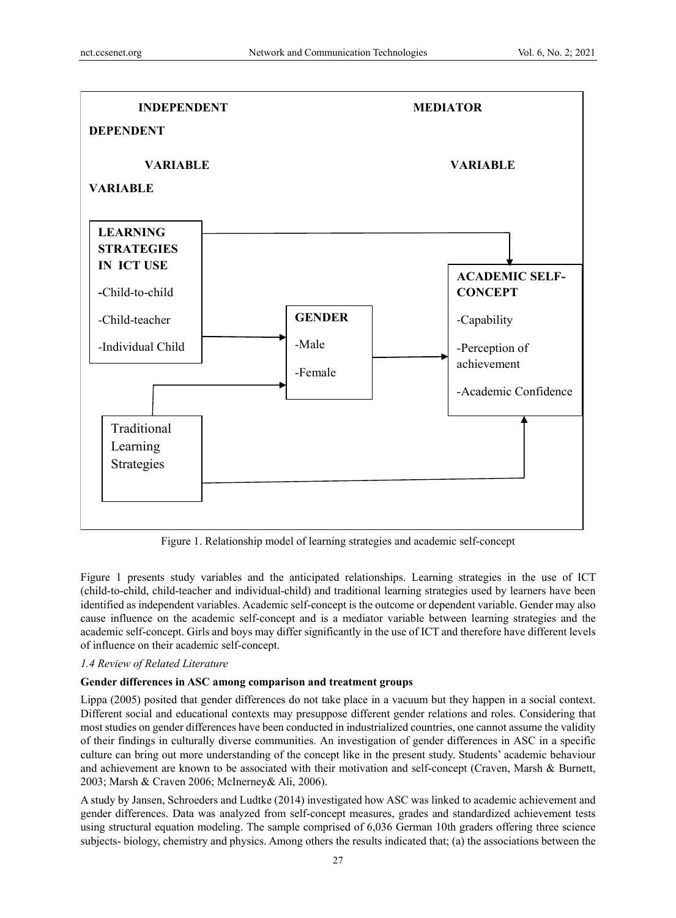

Figure 1. Relationship model of learning strategies and academic self-concept

Figure 1 presents study variables and the anticipated relationships. Learning strategies in the use of ICT (child-to-child, child-teacher and individual-child) and traditional learning strategies used by learners have been identified as independent variables. Academic self-concept is the outcome or dependent variable. Gender may also cause influence on the academic self-concept and is a mediator variable between learning strategies and the academic self-concept. Girls and boys may differ significantly in the use of ICT and therefore have different levels of influence on their academic self-concept.

## *1.4 Review of Related Literature*

#### **Gender differences in ASC among comparison and treatment groups**

Lippa (2005) posited that gender differences do not take place in a vacuum but they happen in a social context. Different social and educational contexts may presuppose different gender relations and roles. Considering that most studies on gender differences have been conducted in industrialized countries, one cannot assume the validity of their findings in culturally diverse communities. An investigation of gender differences in ASC in a specific culture can bring out more understanding of the concept like in the present study. Students' academic behaviour and achievement are known to be associated with their motivation and self-concept (Craven, Marsh & Burnett, 2003; Marsh & Craven 2006; McInerney& Ali, 2006).

A study by Jansen, Schroeders and Ludtke (2014) investigated how ASC was linked to academic achievement and gender differences. Data was analyzed from self-concept measures, grades and standardized achievement tests using structural equation modeling. The sample comprised of 6,036 German 10th graders offering three science subjects- biology, chemistry and physics. Among others the results indicated that; (a) the associations between the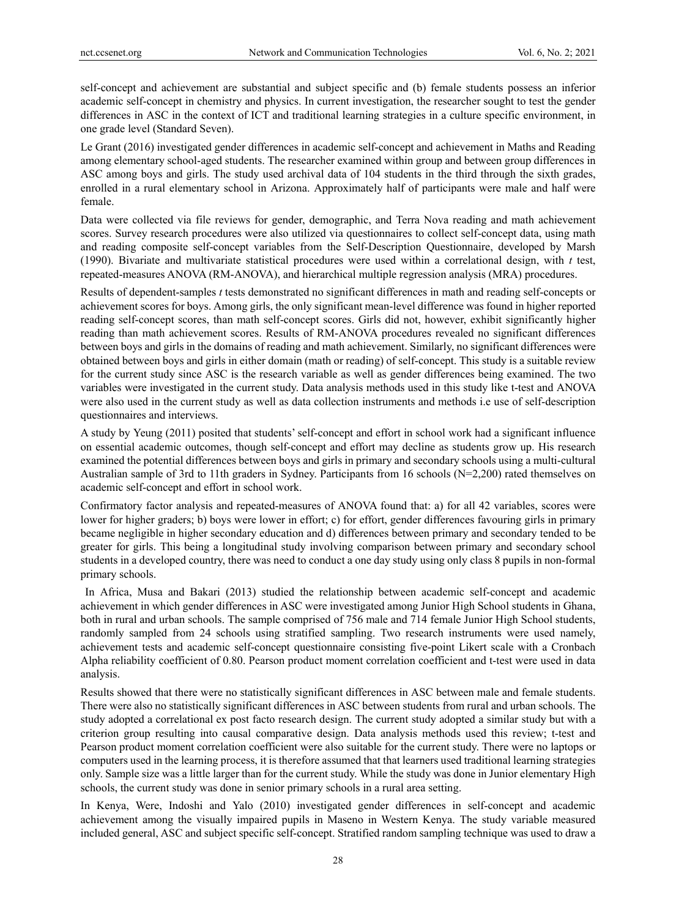self-concept and achievement are substantial and subject specific and (b) female students possess an inferior academic self-concept in chemistry and physics. In current investigation, the researcher sought to test the gender differences in ASC in the context of ICT and traditional learning strategies in a culture specific environment, in one grade level (Standard Seven).

Le Grant (2016) investigated gender differences in academic self-concept and achievement in Maths and Reading among elementary school-aged students. The researcher examined within group and between group differences in ASC among boys and girls. The study used archival data of 104 students in the third through the sixth grades, enrolled in a rural elementary school in Arizona. Approximately half of participants were male and half were female.

Data were collected via file reviews for gender, demographic, and Terra Nova reading and math achievement scores. Survey research procedures were also utilized via questionnaires to collect self-concept data, using math and reading composite self-concept variables from the Self-Description Questionnaire, developed by Marsh (1990). Bivariate and multivariate statistical procedures were used within a correlational design, with *t* test, repeated-measures ANOVA (RM-ANOVA), and hierarchical multiple regression analysis (MRA) procedures.

Results of dependent-samples *t* tests demonstrated no significant differences in math and reading self-concepts or achievement scores for boys. Among girls, the only significant mean-level difference was found in higher reported reading self-concept scores, than math self-concept scores. Girls did not, however, exhibit significantly higher reading than math achievement scores. Results of RM-ANOVA procedures revealed no significant differences between boys and girls in the domains of reading and math achievement. Similarly, no significant differences were obtained between boys and girls in either domain (math or reading) of self-concept. This study is a suitable review for the current study since ASC is the research variable as well as gender differences being examined. The two variables were investigated in the current study. Data analysis methods used in this study like t-test and ANOVA were also used in the current study as well as data collection instruments and methods i.e use of self-description questionnaires and interviews.

A study by Yeung (2011) posited that students' self-concept and effort in school work had a significant influence on essential academic outcomes, though self-concept and effort may decline as students grow up. His research examined the potential differences between boys and girls in primary and secondary schools using a multi-cultural Australian sample of 3rd to 11th graders in Sydney. Participants from 16 schools (N=2,200) rated themselves on academic self-concept and effort in school work.

Confirmatory factor analysis and repeated-measures of ANOVA found that: a) for all 42 variables, scores were lower for higher graders; b) boys were lower in effort; c) for effort, gender differences favouring girls in primary became negligible in higher secondary education and d) differences between primary and secondary tended to be greater for girls. This being a longitudinal study involving comparison between primary and secondary school students in a developed country, there was need to conduct a one day study using only class 8 pupils in non-formal primary schools.

 In Africa, Musa and Bakari (2013) studied the relationship between academic self-concept and academic achievement in which gender differences in ASC were investigated among Junior High School students in Ghana, both in rural and urban schools. The sample comprised of 756 male and 714 female Junior High School students, randomly sampled from 24 schools using stratified sampling. Two research instruments were used namely, achievement tests and academic self-concept questionnaire consisting five-point Likert scale with a Cronbach Alpha reliability coefficient of 0.80. Pearson product moment correlation coefficient and t-test were used in data analysis.

Results showed that there were no statistically significant differences in ASC between male and female students. There were also no statistically significant differences in ASC between students from rural and urban schools. The study adopted a correlational ex post facto research design. The current study adopted a similar study but with a criterion group resulting into causal comparative design. Data analysis methods used this review; t-test and Pearson product moment correlation coefficient were also suitable for the current study. There were no laptops or computers used in the learning process, it is therefore assumed that that learners used traditional learning strategies only. Sample size was a little larger than for the current study. While the study was done in Junior elementary High schools, the current study was done in senior primary schools in a rural area setting.

In Kenya, Were, Indoshi and Yalo (2010) investigated gender differences in self-concept and academic achievement among the visually impaired pupils in Maseno in Western Kenya. The study variable measured included general, ASC and subject specific self-concept. Stratified random sampling technique was used to draw a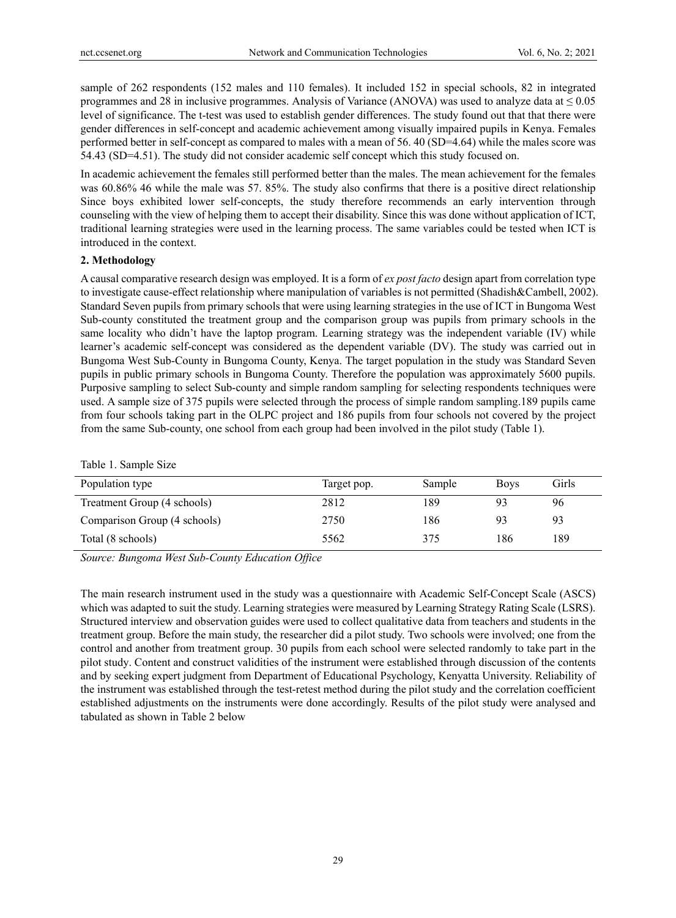sample of 262 respondents (152 males and 110 females). It included 152 in special schools, 82 in integrated programmes and 28 in inclusive programmes. Analysis of Variance (ANOVA) was used to analyze data at  $\leq 0.05$ level of significance. The t-test was used to establish gender differences. The study found out that that there were gender differences in self-concept and academic achievement among visually impaired pupils in Kenya. Females performed better in self-concept as compared to males with a mean of 56. 40 (SD=4.64) while the males score was 54.43 (SD=4.51). The study did not consider academic self concept which this study focused on.

In academic achievement the females still performed better than the males. The mean achievement for the females was 60.86% 46 while the male was 57. 85%. The study also confirms that there is a positive direct relationship Since boys exhibited lower self-concepts, the study therefore recommends an early intervention through counseling with the view of helping them to accept their disability. Since this was done without application of ICT, traditional learning strategies were used in the learning process. The same variables could be tested when ICT is introduced in the context.

## **2. Methodology**

A causal comparative research design was employed. It is a form of *ex post facto* design apart from correlation type to investigate cause-effect relationship where manipulation of variables is not permitted (Shadish&Cambell, 2002). Standard Seven pupils from primary schools that were using learning strategies in the use of ICT in Bungoma West Sub-county constituted the treatment group and the comparison group was pupils from primary schools in the same locality who didn't have the laptop program. Learning strategy was the independent variable (IV) while learner's academic self-concept was considered as the dependent variable (DV). The study was carried out in Bungoma West Sub-County in Bungoma County, Kenya. The target population in the study was Standard Seven pupils in public primary schools in Bungoma County. Therefore the population was approximately 5600 pupils. Purposive sampling to select Sub-county and simple random sampling for selecting respondents techniques were used. A sample size of 375 pupils were selected through the process of simple random sampling.189 pupils came from four schools taking part in the OLPC project and 186 pupils from four schools not covered by the project from the same Sub-county, one school from each group had been involved in the pilot study (Table 1).

|  |  | Table 1. Sample Size |
|--|--|----------------------|
|--|--|----------------------|

| Population type              | Target pop. | Sample | <b>Boys</b> | Girls |
|------------------------------|-------------|--------|-------------|-------|
| Treatment Group (4 schools)  | 2812        | 189    | 93          | 96    |
| Comparison Group (4 schools) | 2750        | 186    | 93          | 93    |
| Total (8 schools)            | 5562        | 375    | 186         | 189   |

*Source: Bungoma West Sub-County Education Office* 

The main research instrument used in the study was a questionnaire with Academic Self-Concept Scale (ASCS) which was adapted to suit the study. Learning strategies were measured by Learning Strategy Rating Scale (LSRS). Structured interview and observation guides were used to collect qualitative data from teachers and students in the treatment group. Before the main study, the researcher did a pilot study. Two schools were involved; one from the control and another from treatment group. 30 pupils from each school were selected randomly to take part in the pilot study. Content and construct validities of the instrument were established through discussion of the contents and by seeking expert judgment from Department of Educational Psychology, Kenyatta University. Reliability of the instrument was established through the test-retest method during the pilot study and the correlation coefficient established adjustments on the instruments were done accordingly. Results of the pilot study were analysed and tabulated as shown in Table 2 below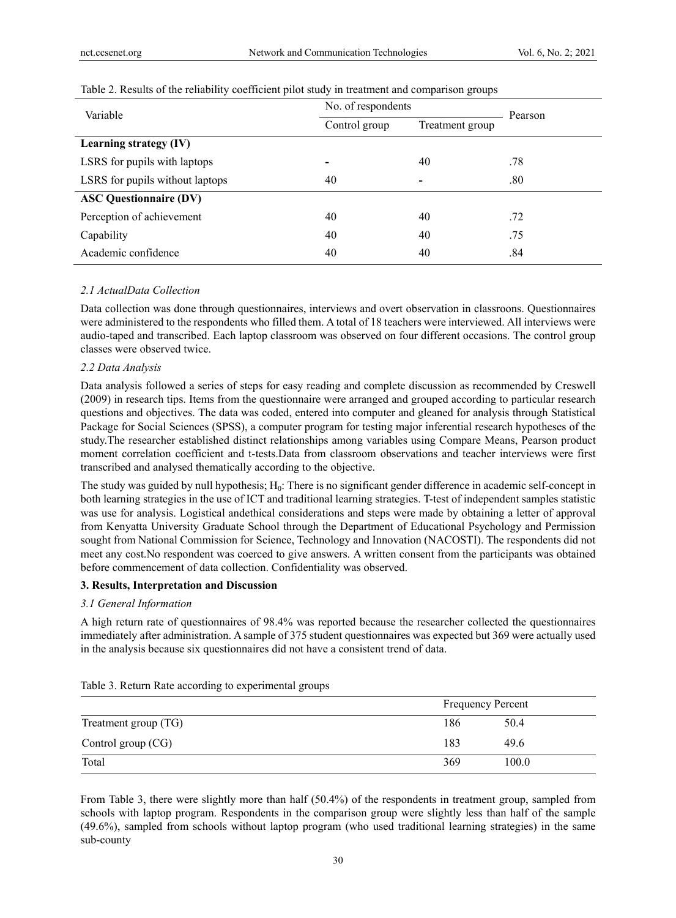| No. of respondents       | Pearson                  |     |  |
|--------------------------|--------------------------|-----|--|
| Control group            | Treatment group          |     |  |
|                          |                          |     |  |
| $\overline{\phantom{0}}$ | 40                       | .78 |  |
| 40                       | $\overline{\phantom{0}}$ | .80 |  |
|                          |                          |     |  |
| 40                       | 40                       | .72 |  |
| 40                       | 40                       | .75 |  |
| 40                       | 40                       | .84 |  |
|                          |                          |     |  |

## Table 2. Results of the reliability coefficient pilot study in treatment and comparison groups

## *2.1 ActualData Collection*

Data collection was done through questionnaires, interviews and overt observation in classroons. Questionnaires were administered to the respondents who filled them. A total of 18 teachers were interviewed. All interviews were audio-taped and transcribed. Each laptop classroom was observed on four different occasions. The control group classes were observed twice.

## *2.2 Data Analysis*

Data analysis followed a series of steps for easy reading and complete discussion as recommended by Creswell (2009) in research tips. Items from the questionnaire were arranged and grouped according to particular research questions and objectives. The data was coded, entered into computer and gleaned for analysis through Statistical Package for Social Sciences (SPSS), a computer program for testing major inferential research hypotheses of the study.The researcher established distinct relationships among variables using Compare Means, Pearson product moment correlation coefficient and t-tests.Data from classroom observations and teacher interviews were first transcribed and analysed thematically according to the objective.

The study was guided by null hypothesis; H<sub>0</sub>: There is no significant gender difference in academic self-concept in both learning strategies in the use of ICT and traditional learning strategies. T-test of independent samples statistic was use for analysis. Logistical andethical considerations and steps were made by obtaining a letter of approval from Kenyatta University Graduate School through the Department of Educational Psychology and Permission sought from National Commission for Science, Technology and Innovation (NACOSTI). The respondents did not meet any cost.No respondent was coerced to give answers. A written consent from the participants was obtained before commencement of data collection. Confidentiality was observed.

## **3. Results, Interpretation and Discussion**

## *3.1 General Information*

A high return rate of questionnaires of 98.4% was reported because the researcher collected the questionnaires immediately after administration. A sample of 375 student questionnaires was expected but 369 were actually used in the analysis because six questionnaires did not have a consistent trend of data.

|                      |     | <b>Frequency Percent</b> |
|----------------------|-----|--------------------------|
| Treatment group (TG) | 186 | 50.4                     |
| Control group (CG)   | 183 | 49.6                     |
| Total                | 369 | 100.0                    |

From Table 3, there were slightly more than half (50.4%) of the respondents in treatment group, sampled from schools with laptop program. Respondents in the comparison group were slightly less than half of the sample (49.6%), sampled from schools without laptop program (who used traditional learning strategies) in the same sub-county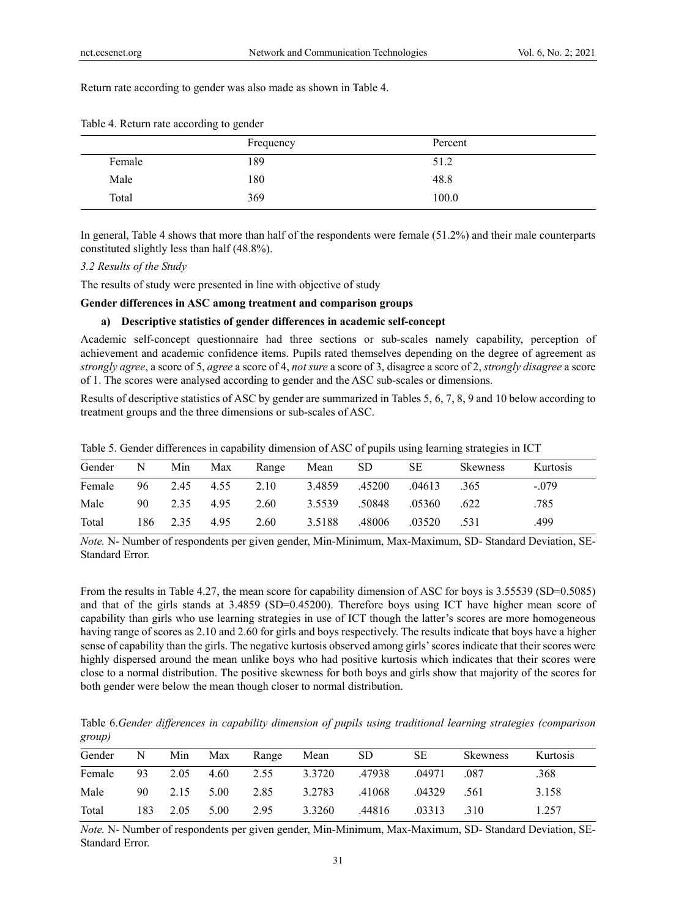Return rate according to gender was also made as shown in Table 4.

|        | Frequency | Percent |  |
|--------|-----------|---------|--|
| Female | 189       | 51.2    |  |
| Male   | 180       | 48.8    |  |
| Total  | 369       | 100.0   |  |

Table 4. Return rate according to gender

In general, Table 4 shows that more than half of the respondents were female (51.2%) and their male counterparts constituted slightly less than half (48.8%).

#### *3.2 Results of the Study*

The results of study were presented in line with objective of study

**Gender differences in ASC among treatment and comparison groups**

## **a) Descriptive statistics of gender differences in academic self-concept**

Academic self-concept questionnaire had three sections or sub-scales namely capability, perception of achievement and academic confidence items. Pupils rated themselves depending on the degree of agreement as *strongly agree*, a score of 5, *agree* a score of 4, *not sure* a score of 3, disagree a score of 2, *strongly disagree* a score of 1. The scores were analysed according to gender and the ASC sub-scales or dimensions.

Results of descriptive statistics of ASC by gender are summarized in Tables 5, 6, 7, 8, 9 and 10 below according to treatment groups and the three dimensions or sub-scales of ASC.

| Gender | N   | Min  | Max  | Range | Mean   | SD.    | SЕ     | <b>Skewness</b> | Kurtosis |
|--------|-----|------|------|-------|--------|--------|--------|-----------------|----------|
| Female | 96  | 2.45 | 4.55 | 2.10  | 3.4859 | .45200 | .04613 | .365            | $-.079$  |
| Male   | 90  | 2.35 | 4.95 | 2.60  | 3.5539 | .50848 | .05360 | .622            | .785     |
| Total  | 186 | 2.35 | 4.95 | 2.60  | 3.5188 | .48006 | .03520 | .531            | .499     |

Table 5. Gender differences in capability dimension of ASC of pupils using learning strategies in ICT

*Note.* N- Number of respondents per given gender, Min-Minimum, Max-Maximum, SD- Standard Deviation, SE-Standard Error.

From the results in Table 4.27, the mean score for capability dimension of ASC for boys is 3.55539 (SD=0.5085) and that of the girls stands at 3.4859 (SD=0.45200). Therefore boys using ICT have higher mean score of capability than girls who use learning strategies in use of ICT though the latter's scores are more homogeneous having range of scores as 2.10 and 2.60 for girls and boys respectively. The results indicate that boys have a higher sense of capability than the girls. The negative kurtosis observed among girls' scores indicate that their scores were highly dispersed around the mean unlike boys who had positive kurtosis which indicates that their scores were close to a normal distribution. The positive skewness for both boys and girls show that majority of the scores for both gender were below the mean though closer to normal distribution.

Table 6.*Gender differences in capability dimension of pupils using traditional learning strategies (comparison group)* 

| Gender | $\mathbf N$ | Min  | Max  | Range | Mean   | <b>SD</b> | SЕ     | <b>Skewness</b> | Kurtosis |
|--------|-------------|------|------|-------|--------|-----------|--------|-----------------|----------|
| Female | 93          | 2.05 | 4.60 | 2.55  | 3.3720 | .47938    | .04971 | .087            | .368     |
| Male   | 90          | 2.15 | 5.00 | 2.85  | 3.2783 | .41068    | .04329 | .561            | 3.158    |
| Total  | 183         | 2.05 | 5.00 | 2.95  | 3.3260 | .44816    | .03313 | .310            | 1.257    |

*Note.* N- Number of respondents per given gender, Min-Minimum, Max-Maximum, SD- Standard Deviation, SE-Standard Error.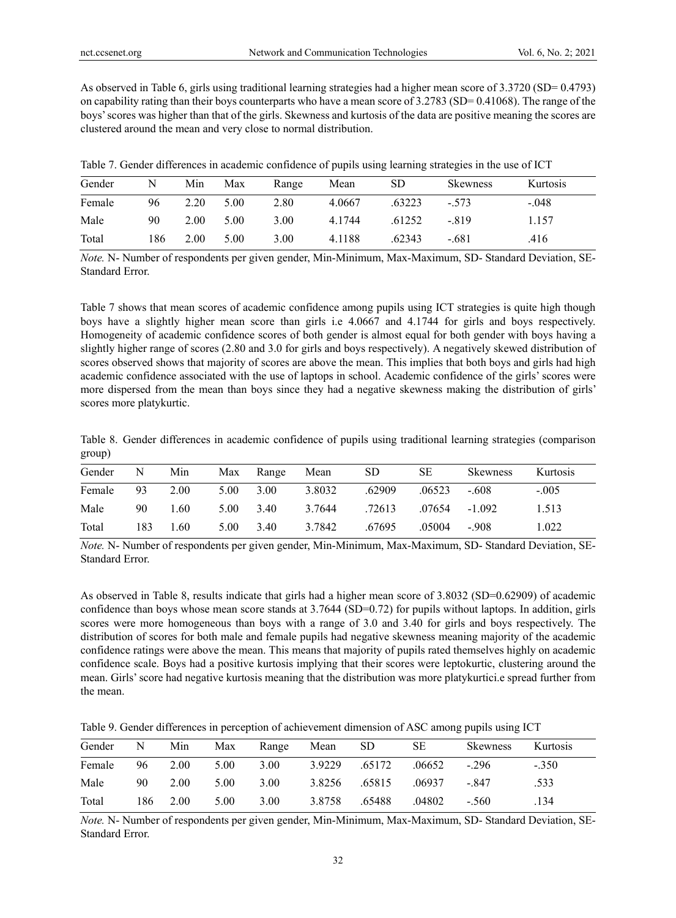As observed in Table 6, girls using traditional learning strategies had a higher mean score of 3.3720 (SD= 0.4793) on capability rating than their boys counterparts who have a mean score of  $3.2783$  (SD= 0.41068). The range of the boys' scores was higher than that of the girls. Skewness and kurtosis of the data are positive meaning the scores are clustered around the mean and very close to normal distribution.

Table 7. Gender differences in academic confidence of pupils using learning strategies in the use of ICT

| Gender | N   | Min  | Max  | Range | Mean   | <b>SD</b> | <b>Skewness</b> | Kurtosis |
|--------|-----|------|------|-------|--------|-----------|-----------------|----------|
| Female | 96  | 2.20 | 5.00 | 2.80  | 4.0667 | .63223    | $-.573$         | $-.048$  |
| Male   | 90  | 2.00 | 5.00 | 3.00  | 4.1744 | .61252    | $-.819$         | 1.157    |
| Total  | 186 | 2.00 | 5.00 | 3.00  | 4.1188 | .62343    | $-.681$         | .416     |

*Note.* N- Number of respondents per given gender, Min-Minimum, Max-Maximum, SD- Standard Deviation, SE-Standard Error.

Table 7 shows that mean scores of academic confidence among pupils using ICT strategies is quite high though boys have a slightly higher mean score than girls i.e 4.0667 and 4.1744 for girls and boys respectively. Homogeneity of academic confidence scores of both gender is almost equal for both gender with boys having a slightly higher range of scores (2.80 and 3.0 for girls and boys respectively). A negatively skewed distribution of scores observed shows that majority of scores are above the mean. This implies that both boys and girls had high academic confidence associated with the use of laptops in school. Academic confidence of the girls' scores were more dispersed from the mean than boys since they had a negative skewness making the distribution of girls' scores more platykurtic.

|        |  |  |  |  |  | Table 8. Gender differences in academic confidence of pupils using traditional learning strategies (comparison |
|--------|--|--|--|--|--|----------------------------------------------------------------------------------------------------------------|
| group) |  |  |  |  |  |                                                                                                                |

| Gender | N   | Min  | Max  | Range | Mean   | <b>SD</b> | SЕ     | <b>Skewness</b> | <b>Kurtosis</b> |
|--------|-----|------|------|-------|--------|-----------|--------|-----------------|-----------------|
| Female | 93  | 2.00 | 5.00 | 3.00  | 3.8032 | .62909    | .06523 | $-.608$         | $-.005$         |
| Male   | 90  | 1.60 | 5.00 | 3.40  | 3.7644 | .72613    | .07654 | $-1.092$        | 1.513           |
| Total  | 183 | 1.60 | 5.00 | 3.40  | 3.7842 | .67695    | .05004 | $-.908$         | 1.022           |

*Note.* N- Number of respondents per given gender, Min-Minimum, Max-Maximum, SD- Standard Deviation, SE-Standard Error.

As observed in Table 8, results indicate that girls had a higher mean score of 3.8032 (SD=0.62909) of academic confidence than boys whose mean score stands at 3.7644 (SD=0.72) for pupils without laptops. In addition, girls scores were more homogeneous than boys with a range of 3.0 and 3.40 for girls and boys respectively. The distribution of scores for both male and female pupils had negative skewness meaning majority of the academic confidence ratings were above the mean. This means that majority of pupils rated themselves highly on academic confidence scale. Boys had a positive kurtosis implying that their scores were leptokurtic, clustering around the mean. Girls' score had negative kurtosis meaning that the distribution was more platykurtici.e spread further from the mean.

Table 9. Gender differences in perception of achievement dimension of ASC among pupils using ICT

| Gender | N   | Min  | Max  | Range | Mean   | <sub>SD</sub> | SЕ     | <b>Skewness</b> | Kurtosis |
|--------|-----|------|------|-------|--------|---------------|--------|-----------------|----------|
| Female | 96  | 2.00 | 5.00 | 3.00  | 3.9229 | .65172        | .06652 | $-296$          | $-.350$  |
| Male   | 90  | 2.00 | 5.00 | 3.00  | 3.8256 | .65815        | .06937 | $-.847$         | .533     |
| Total  | 186 | 2.00 | 5.00 | 3.00  | 3.8758 | .65488        | .04802 | $-.560$         | .134     |

*Note.* N- Number of respondents per given gender, Min-Minimum, Max-Maximum, SD- Standard Deviation, SE-Standard Error.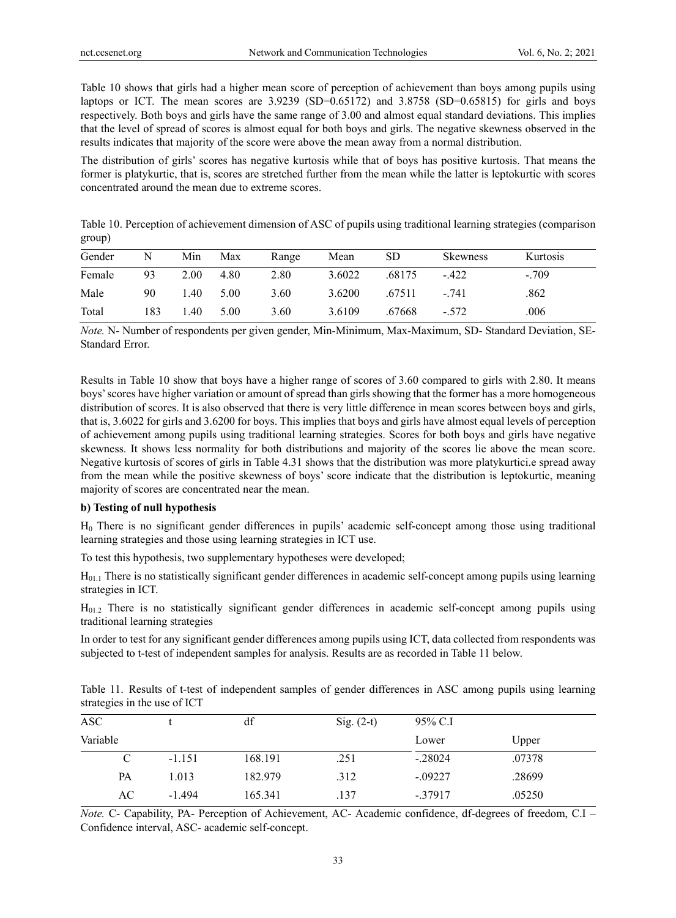Table 10 shows that girls had a higher mean score of perception of achievement than boys among pupils using laptops or ICT. The mean scores are  $3.9239$  (SD=0.65172) and  $3.8758$  (SD=0.65815) for girls and boys respectively. Both boys and girls have the same range of 3.00 and almost equal standard deviations. This implies that the level of spread of scores is almost equal for both boys and girls. The negative skewness observed in the results indicates that majority of the score were above the mean away from a normal distribution.

The distribution of girls' scores has negative kurtosis while that of boys has positive kurtosis. That means the former is platykurtic, that is, scores are stretched further from the mean while the latter is leptokurtic with scores concentrated around the mean due to extreme scores.

Table 10. Perception of achievement dimension of ASC of pupils using traditional learning strategies (comparison group)

| Gender | N   | Min  | Max  | Range | Mean   | SD.    | <b>Skewness</b> | Kurtosis |
|--------|-----|------|------|-------|--------|--------|-----------------|----------|
| Female | 93  | 2.00 | 4.80 | 2.80  | 3.6022 | .68175 | $-422$          | $-.709$  |
| Male   | 90  | 1.40 | 5.00 | 3.60  | 3.6200 | .67511 | $-.741$         | .862     |
| Total  | 183 | 1.40 | 5.00 | 3.60  | 3.6109 | .67668 | $-.572$         | .006     |

*Note.* N- Number of respondents per given gender, Min-Minimum, Max-Maximum, SD- Standard Deviation, SE-Standard Error.

Results in Table 10 show that boys have a higher range of scores of 3.60 compared to girls with 2.80. It means boys' scores have higher variation or amount of spread than girls showing that the former has a more homogeneous distribution of scores. It is also observed that there is very little difference in mean scores between boys and girls, that is, 3.6022 for girls and 3.6200 for boys. This implies that boys and girls have almost equal levels of perception of achievement among pupils using traditional learning strategies. Scores for both boys and girls have negative skewness. It shows less normality for both distributions and majority of the scores lie above the mean score. Negative kurtosis of scores of girls in Table 4.31 shows that the distribution was more platykurtici.e spread away from the mean while the positive skewness of boys' score indicate that the distribution is leptokurtic, meaning majority of scores are concentrated near the mean.

## **b) Testing of null hypothesis**

H0 There is no significant gender differences in pupils' academic self-concept among those using traditional learning strategies and those using learning strategies in ICT use.

To test this hypothesis, two supplementary hypotheses were developed;

 $H<sub>01.1</sub>$  There is no statistically significant gender differences in academic self-concept among pupils using learning strategies in ICT.

 $H<sub>01.2</sub>$  There is no statistically significant gender differences in academic self-concept among pupils using traditional learning strategies

In order to test for any significant gender differences among pupils using ICT, data collected from respondents was subjected to t-test of independent samples for analysis. Results are as recorded in Table 11 below.

Table 11. Results of t-test of independent samples of gender differences in ASC among pupils using learning strategies in the use of ICT

| ASC.     | df       |         | $Sig. (2-t)$ | 95% C.I    |        |  |  |
|----------|----------|---------|--------------|------------|--------|--|--|
| Variable |          |         |              | Lower      | Upper  |  |  |
| C        | $-1.151$ | 168.191 | .251         | $-.28024$  | .07378 |  |  |
| PA       | 1.013    | 182.979 | .312         | $-.09227$  | .28699 |  |  |
| AC       | $-1.494$ | 165.341 | .137         | $-0.37917$ | .05250 |  |  |
|          |          |         |              |            |        |  |  |

*Note.* C- Capability, PA- Perception of Achievement, AC- Academic confidence, df-degrees of freedom, C.I – Confidence interval, ASC- academic self-concept.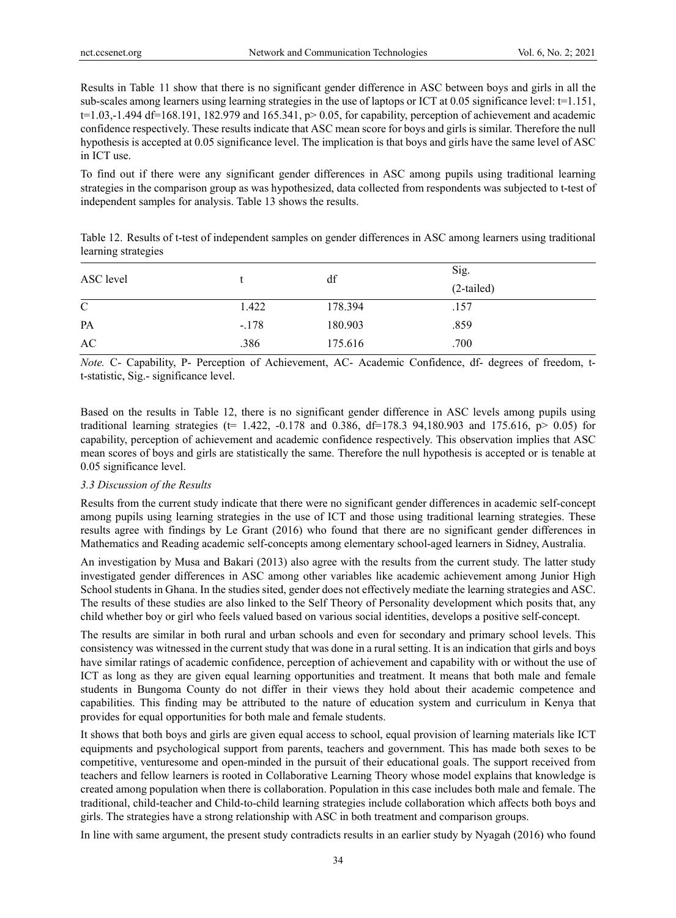Results in Table 11 show that there is no significant gender difference in ASC between boys and girls in all the sub-scales among learners using learning strategies in the use of laptops or ICT at 0.05 significance level:  $t=1.151$ ,  $t=1.03,-1.494$  df=168.191, 182.979 and 165.341, p> 0.05, for capability, perception of achievement and academic confidence respectively. These results indicate that ASC mean score for boys and girls is similar. Therefore the null hypothesis is accepted at 0.05 significance level. The implication is that boys and girls have the same level of ASC in ICT use.

To find out if there were any significant gender differences in ASC among pupils using traditional learning strategies in the comparison group as was hypothesized, data collected from respondents was subjected to t-test of independent samples for analysis. Table 13 shows the results.

|                     | Table 12. Results of t-test of independent samples on gender differences in ASC among learners using traditional |  |  |  |
|---------------------|------------------------------------------------------------------------------------------------------------------|--|--|--|
| learning strategies |                                                                                                                  |  |  |  |

| ASC level     |         | df      | Sig.<br>$(2-tailed)$ |
|---------------|---------|---------|----------------------|
| $\mathcal{C}$ | 1.422   | 178.394 | .157                 |
| PA            | $-.178$ | 180.903 | .859                 |
| AC            | .386    | 175.616 | .700                 |

*Note.* C- Capability, P- Perception of Achievement, AC- Academic Confidence, df- degrees of freedom, tt-statistic, Sig.- significance level.

Based on the results in Table 12, there is no significant gender difference in ASC levels among pupils using traditional learning strategies (t= 1.422, -0.178 and 0.386, df=178.3 94,180.903 and 175.616, p> 0.05) for capability, perception of achievement and academic confidence respectively. This observation implies that ASC mean scores of boys and girls are statistically the same. Therefore the null hypothesis is accepted or is tenable at 0.05 significance level.

#### *3.3 Discussion of the Results*

Results from the current study indicate that there were no significant gender differences in academic self-concept among pupils using learning strategies in the use of ICT and those using traditional learning strategies. These results agree with findings by Le Grant (2016) who found that there are no significant gender differences in Mathematics and Reading academic self-concepts among elementary school-aged learners in Sidney, Australia.

An investigation by Musa and Bakari (2013) also agree with the results from the current study. The latter study investigated gender differences in ASC among other variables like academic achievement among Junior High School students in Ghana. In the studies sited, gender does not effectively mediate the learning strategies and ASC. The results of these studies are also linked to the Self Theory of Personality development which posits that, any child whether boy or girl who feels valued based on various social identities, develops a positive self-concept.

The results are similar in both rural and urban schools and even for secondary and primary school levels. This consistency was witnessed in the current study that was done in a rural setting. It is an indication that girls and boys have similar ratings of academic confidence, perception of achievement and capability with or without the use of ICT as long as they are given equal learning opportunities and treatment. It means that both male and female students in Bungoma County do not differ in their views they hold about their academic competence and capabilities. This finding may be attributed to the nature of education system and curriculum in Kenya that provides for equal opportunities for both male and female students.

It shows that both boys and girls are given equal access to school, equal provision of learning materials like ICT equipments and psychological support from parents, teachers and government. This has made both sexes to be competitive, venturesome and open-minded in the pursuit of their educational goals. The support received from teachers and fellow learners is rooted in Collaborative Learning Theory whose model explains that knowledge is created among population when there is collaboration. Population in this case includes both male and female. The traditional, child-teacher and Child-to-child learning strategies include collaboration which affects both boys and girls. The strategies have a strong relationship with ASC in both treatment and comparison groups.

In line with same argument, the present study contradicts results in an earlier study by Nyagah (2016) who found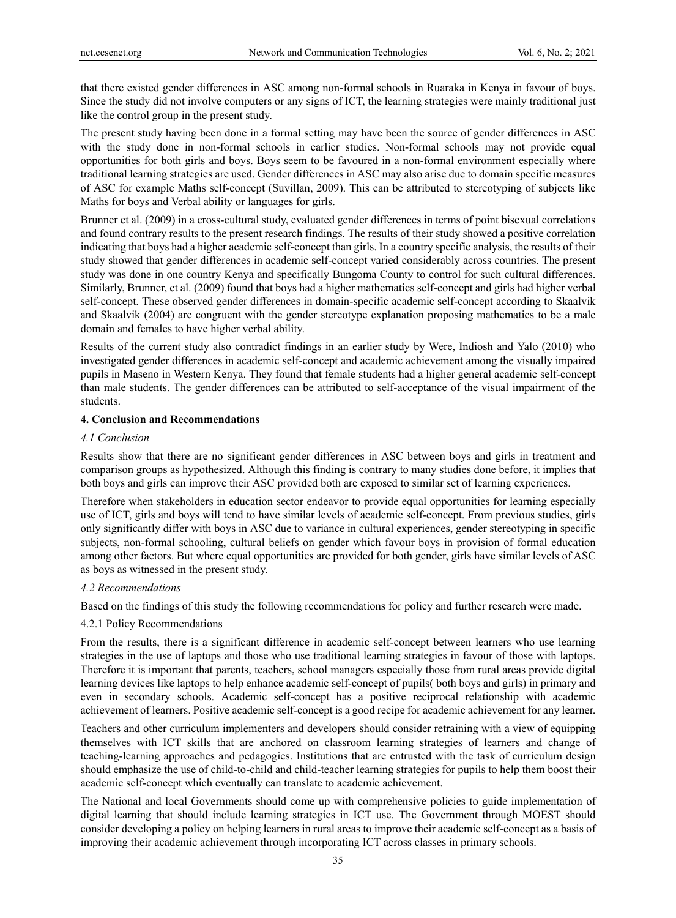that there existed gender differences in ASC among non-formal schools in Ruaraka in Kenya in favour of boys. Since the study did not involve computers or any signs of ICT, the learning strategies were mainly traditional just like the control group in the present study.

The present study having been done in a formal setting may have been the source of gender differences in ASC with the study done in non-formal schools in earlier studies. Non-formal schools may not provide equal opportunities for both girls and boys. Boys seem to be favoured in a non-formal environment especially where traditional learning strategies are used. Gender differences in ASC may also arise due to domain specific measures of ASC for example Maths self-concept (Suvillan, 2009). This can be attributed to stereotyping of subjects like Maths for boys and Verbal ability or languages for girls.

Brunner et al. (2009) in a cross-cultural study, evaluated gender differences in terms of point bisexual correlations and found contrary results to the present research findings. The results of their study showed a positive correlation indicating that boys had a higher academic self-concept than girls. In a country specific analysis, the results of their study showed that gender differences in academic self-concept varied considerably across countries. The present study was done in one country Kenya and specifically Bungoma County to control for such cultural differences. Similarly, Brunner, et al. (2009) found that boys had a higher mathematics self-concept and girls had higher verbal self-concept. These observed gender differences in domain-specific academic self-concept according to Skaalvik and Skaalvik (2004) are congruent with the gender stereotype explanation proposing mathematics to be a male domain and females to have higher verbal ability.

Results of the current study also contradict findings in an earlier study by Were, Indiosh and Yalo (2010) who investigated gender differences in academic self-concept and academic achievement among the visually impaired pupils in Maseno in Western Kenya. They found that female students had a higher general academic self-concept than male students. The gender differences can be attributed to self-acceptance of the visual impairment of the students.

## **4. Conclusion and Recommendations**

#### *4.1 Conclusion*

Results show that there are no significant gender differences in ASC between boys and girls in treatment and comparison groups as hypothesized. Although this finding is contrary to many studies done before, it implies that both boys and girls can improve their ASC provided both are exposed to similar set of learning experiences.

Therefore when stakeholders in education sector endeavor to provide equal opportunities for learning especially use of ICT, girls and boys will tend to have similar levels of academic self-concept. From previous studies, girls only significantly differ with boys in ASC due to variance in cultural experiences, gender stereotyping in specific subjects, non-formal schooling, cultural beliefs on gender which favour boys in provision of formal education among other factors. But where equal opportunities are provided for both gender, girls have similar levels of ASC as boys as witnessed in the present study.

## *4.2 Recommendations*

Based on the findings of this study the following recommendations for policy and further research were made.

#### 4.2.1 Policy Recommendations

From the results, there is a significant difference in academic self-concept between learners who use learning strategies in the use of laptops and those who use traditional learning strategies in favour of those with laptops. Therefore it is important that parents, teachers, school managers especially those from rural areas provide digital learning devices like laptops to help enhance academic self-concept of pupils( both boys and girls) in primary and even in secondary schools. Academic self-concept has a positive reciprocal relationship with academic achievement of learners. Positive academic self-concept is a good recipe for academic achievement for any learner.

Teachers and other curriculum implementers and developers should consider retraining with a view of equipping themselves with ICT skills that are anchored on classroom learning strategies of learners and change of teaching-learning approaches and pedagogies. Institutions that are entrusted with the task of curriculum design should emphasize the use of child-to-child and child-teacher learning strategies for pupils to help them boost their academic self-concept which eventually can translate to academic achievement.

The National and local Governments should come up with comprehensive policies to guide implementation of digital learning that should include learning strategies in ICT use. The Government through MOEST should consider developing a policy on helping learners in rural areas to improve their academic self-concept as a basis of improving their academic achievement through incorporating ICT across classes in primary schools.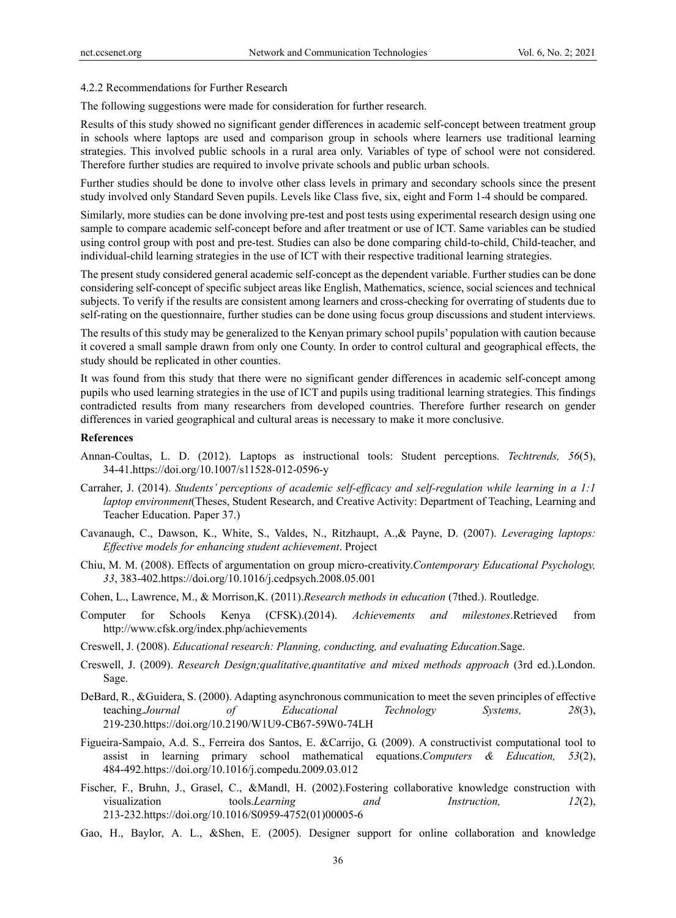#### 4.2.2 Recommendations for Further Research

The following suggestions were made for consideration for further research.

Results of this study showed no significant gender differences in academic self-concept between treatment group in schools where laptops are used and comparison group in schools where learners use traditional learning strategies. This involved public schools in a rural area only. Variables of type of school were not considered. Therefore further studies are required to involve private schools and public urban schools.

Further studies should be done to involve other class levels in primary and secondary schools since the present study involved only Standard Seven pupils. Levels like Class five, six, eight and Form 1-4 should be compared.

Similarly, more studies can be done involving pre-test and post tests using experimental research design using one sample to compare academic self-concept before and after treatment or use of ICT. Same variables can be studied using control group with post and pre-test. Studies can also be done comparing child-to-child, Child-teacher, and individual-child learning strategies in the use of ICT with their respective traditional learning strategies.

The present study considered general academic self-concept as the dependent variable. Further studies can be done considering self-concept of specific subject areas like English, Mathematics, science, social sciences and technical subjects. To verify if the results are consistent among learners and cross-checking for overrating of students due to self-rating on the questionnaire, further studies can be done using focus group discussions and student interviews.

The results of this study may be generalized to the Kenyan primary school pupils' population with caution because it covered a small sample drawn from only one County. In order to control cultural and geographical effects, the study should be replicated in other counties.

It was found from this study that there were no significant gender differences in academic self-concept among pupils who used learning strategies in the use of ICT and pupils using traditional learning strategies. This findings contradicted results from many researchers from developed countries. Therefore further research on gender differences in varied geographical and cultural areas is necessary to make it more conclusive.

## **References**

- Annan-Coultas, L. D. (2012). Laptops as instructional tools: Student perceptions. *Techtrends, 56*(5), 34-41.https://doi.org/10.1007/s11528-012-0596-y
- Carraher, J. (2014). *Students' perceptions of academic self-efficacy and self-regulation while learning in a 1:1 laptop environment*(Theses, Student Research, and Creative Activity: Department of Teaching, Learning and Teacher Education. Paper 37.)
- Cavanaugh, C., Dawson, K., White, S., Valdes, N., Ritzhaupt, A.,& Payne, D. (2007). *Leveraging laptops: Effective models for enhancing student achievement*. Project
- Chiu, M. M. (2008). Effects of argumentation on group micro-creativity.*Contemporary Educational Psychology, 33*, 383-402.https://doi.org/10.1016/j.cedpsych.2008.05.001
- Cohen, L., Lawrence, M., & Morrison,K. (2011).*Research methods in education* (7thed.). Routledge.
- Computer for Schools Kenya (CFSK).(2014). *Achievements and milestones*.Retrieved from http://www.cfsk.org/index.php/achievements
- Creswell, J. (2008). *Educational research: Planning, conducting, and evaluating Education*.Sage.
- Creswell, J. (2009). *Research Design;qualitative,quantitative and mixed methods approach* (3rd ed.).London. Sage.
- DeBard, R., &Guidera, S. (2000). Adapting asynchronous communication to meet the seven principles of effective teaching.*Journal of Educational Technology Systems, 28*(3), 219-230.https://doi.org/10.2190/W1U9-CB67-59W0-74LH
- Figueira-Sampaio, A.d. S., Ferreira dos Santos, E. &Carrijo, G. (2009). A constructivist computational tool to assist in learning primary school mathematical equations.*Computers & Education, 53*(2), 484-492.https://doi.org/10.1016/j.compedu.2009.03.012
- Fischer, F., Bruhn, J., Grasel, C., &Mandl, H. (2002).Fostering collaborative knowledge construction with visualization tools.*Learning and Instruction, 12*(2), 213-232.https://doi.org/10.1016/S0959-4752(01)00005-6
- Gao, H., Baylor, A. L., &Shen, E. (2005). Designer support for online collaboration and knowledge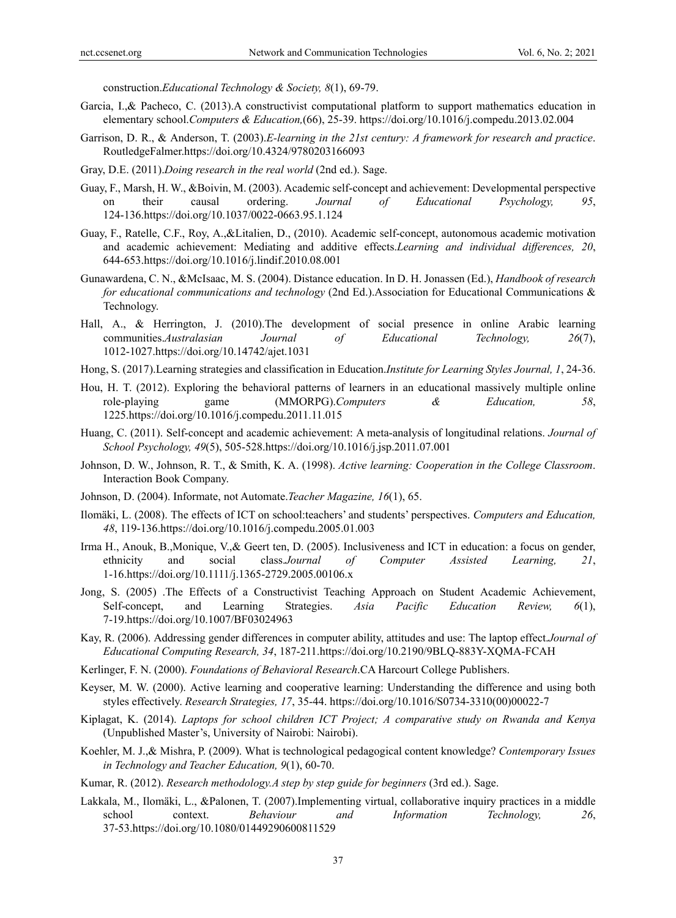construction.*Educational Technology & Society, 8*(1), 69-79.

- Garcia, I.,& Pacheco, C. (2013).A constructivist computational platform to support mathematics education in elementary school.*Computers & Education,*(66), 25-39. https://doi.org/10.1016/j.compedu.2013.02.004
- Garrison, D. R., & Anderson, T. (2003).*E-learning in the 21st century: A framework for research and practice*. RoutledgeFalmer.https://doi.org/10.4324/9780203166093
- Gray, D.E. (2011).*Doing research in the real world* (2nd ed.). Sage.
- Guay, F., Marsh, H. W., &Boivin, M. (2003). Academic self-concept and achievement: Developmental perspective on their causal ordering. *Journal of Educational Psychology, 95*, 124-136.https://doi.org/10.1037/0022-0663.95.1.124
- Guay, F., Ratelle, C.F., Roy, A.,&Litalien, D., (2010). Academic self-concept, autonomous academic motivation and academic achievement: Mediating and additive effects.*Learning and individual differences, 20*, 644-653.https://doi.org/10.1016/j.lindif.2010.08.001
- Gunawardena, C. N., &McIsaac, M. S. (2004). Distance education. In D. H. Jonassen (Ed.), *Handbook of research for educational communications and technology* (2nd Ed.).Association for Educational Communications & Technology.
- Hall, A., & Herrington, J. (2010).The development of social presence in online Arabic learning communities.*Australasian Journal of Educational Technology, 26*(7), 1012-1027.https://doi.org/10.14742/ajet.1031
- Hong, S. (2017).Learning strategies and classification in Education.*Institute for Learning Styles Journal, 1*, 24-36.
- Hou, H. T. (2012). Exploring the behavioral patterns of learners in an educational massively multiple online role-playing game (MMORPG).*Computers & Education, 58*, 1225.https://doi.org/10.1016/j.compedu.2011.11.015
- Huang, C. (2011). Self-concept and academic achievement: A meta-analysis of longitudinal relations. *Journal of School Psychology, 49*(5), 505-528.https://doi.org/10.1016/j.jsp.2011.07.001
- Johnson, D. W., Johnson, R. T., & Smith, K. A. (1998). *Active learning: Cooperation in the College Classroom*. Interaction Book Company.
- Johnson, D. (2004). Informate, not Automate.*Teacher Magazine, 16*(1), 65.
- Ilomäki, L. (2008). The effects of ICT on school:teachers' and students' perspectives. *Computers and Education, 48*, 119-136.https://doi.org/10.1016/j.compedu.2005.01.003
- Irma H., Anouk, B.,Monique, V.,& Geert ten, D. (2005). Inclusiveness and ICT in education: a focus on gender, ethnicity and social class.*Journal of Computer Assisted Learning, 21*, 1-16.https://doi.org/10.1111/j.1365-2729.2005.00106.x
- Jong, S. (2005) .The Effects of a Constructivist Teaching Approach on Student Academic Achievement, Self-concept, and Learning Strategies. *Asia Pacific Education Review, 6*(1), 7-19.https://doi.org/10.1007/BF03024963
- Kay, R. (2006). Addressing gender differences in computer ability, attitudes and use: The laptop effect.*Journal of Educational Computing Research, 34*, 187-211.https://doi.org/10.2190/9BLQ-883Y-XQMA-FCAH
- Kerlinger, F. N. (2000). *Foundations of Behavioral Research*.CA Harcourt College Publishers.
- Keyser, M. W. (2000). Active learning and cooperative learning: Understanding the difference and using both styles effectively. *Research Strategies, 17*, 35-44. https://doi.org/10.1016/S0734-3310(00)00022-7
- Kiplagat, K. (2014). *Laptops for school children ICT Project; A comparative study on Rwanda and Kenya* (Unpublished Master's, University of Nairobi: Nairobi).
- Koehler, M. J.,& Mishra, P. (2009). What is technological pedagogical content knowledge? *Contemporary Issues in Technology and Teacher Education, 9*(1), 60-70.
- Kumar, R. (2012). *Research methodology.A step by step guide for beginners* (3rd ed.). Sage.
- Lakkala, M., Ilomäki, L., &Palonen, T. (2007).Implementing virtual, collaborative inquiry practices in a middle school context. *Behaviour and Information Technology, 26*, 37-53.https://doi.org/10.1080/01449290600811529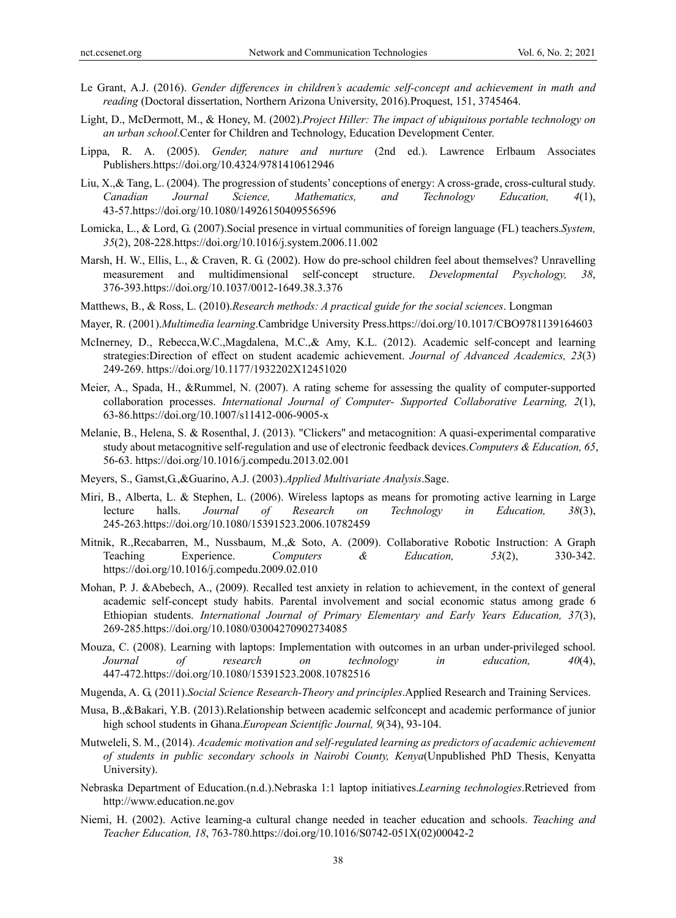- Le Grant, A.J. (2016). *Gender differences in children's academic self-concept and achievement in math and reading* (Doctoral dissertation, Northern Arizona University, 2016).Proquest, 151, 3745464.
- Light, D., McDermott, M., & Honey, M. (2002).*Project Hiller: The impact of ubiquitous portable technology on an urban school*.Center for Children and Technology, Education Development Center.
- Lippa, R. A. (2005). *Gender, nature and nurture* (2nd ed.). Lawrence Erlbaum Associates Publishers.https://doi.org/10.4324/9781410612946
- Liu, X.,& Tang, L. (2004). The progression of students' conceptions of energy: A cross-grade, cross-cultural study. *Canadian Journal Science, Mathematics, and Technology Education, 4*(1), 43-57.https://doi.org/10.1080/14926150409556596
- Lomicka, L., & Lord, G. (2007).Social presence in virtual communities of foreign language (FL) teachers.*System, 35*(2), 208-228.https://doi.org/10.1016/j.system.2006.11.002
- Marsh, H. W., Ellis, L., & Craven, R. G. (2002). How do pre-school children feel about themselves? Unravelling measurement and multidimensional self-concept structure. *Developmental Psychology, 38*, 376-393.https://doi.org/10.1037/0012-1649.38.3.376
- Matthews, B., & Ross, L. (2010).*Research methods: A practical guide for the social sciences*. Longman
- Mayer, R. (2001).*Multimedia learning*.Cambridge University Press.https://doi.org/10.1017/CBO9781139164603
- McInerney, D., Rebecca,W.C.,Magdalena, M.C.,& Amy, K.L. (2012). Academic self-concept and learning strategies:Direction of effect on student academic achievement. *Journal of Advanced Academics, 23*(3) 249-269. https://doi.org/10.1177/1932202X12451020
- Meier, A., Spada, H., &Rummel, N. (2007). A rating scheme for assessing the quality of computer-supported collaboration processes. *International Journal of Computer- Supported Collaborative Learning, 2*(1), 63-86.https://doi.org/10.1007/s11412-006-9005-x
- Melanie, B., Helena, S. & Rosenthal, J. (2013). "Clickers" and metacognition: A quasi-experimental comparative study about metacognitive self-regulation and use of electronic feedback devices.*Computers & Education, 65*, 56-63. https://doi.org/10.1016/j.compedu.2013.02.001
- Meyers, S., Gamst,G.,&Guarino, A.J. (2003).*Applied Multivariate Analysis*.Sage.
- Miri, B., Alberta, L. & Stephen, L. (2006). Wireless laptops as means for promoting active learning in Large lecture halls. *Journal of Research on Technology in Education, 38*(3), 245-263.https://doi.org/10.1080/15391523.2006.10782459
- Mitnik, R.,Recabarren, M., Nussbaum, M.,& Soto, A. (2009). Collaborative Robotic Instruction: A Graph Teaching Experience. *Computers & Education, 53*(2), 330-342. https://doi.org/10.1016/j.compedu.2009.02.010
- Mohan, P. J. &Abebech, A., (2009). Recalled test anxiety in relation to achievement, in the context of general academic self-concept study habits. Parental involvement and social economic status among grade 6 Ethiopian students. *International Journal of Primary Elementary and Early Years Education, 37*(3), 269-285.https://doi.org/10.1080/03004270902734085
- Mouza, C. (2008). Learning with laptops: Implementation with outcomes in an urban under-privileged school. *Journal of research on technology in education, 40*(4), 447-472.https://doi.org/10.1080/15391523.2008.10782516
- Mugenda, A. G, (2011).*Social Science Research-Theory and principles*.Applied Research and Training Services.
- Musa, B.,&Bakari, Y.B. (2013).Relationship between academic selfconcept and academic performance of junior high school students in Ghana.*European Scientific Journal, 9*(34), 93-104.
- Mutweleli, S. M., (2014). *Academic motivation and self-regulated learning as predictors of academic achievement of students in public secondary schools in Nairobi County, Kenya*(Unpublished PhD Thesis, Kenyatta University).
- Nebraska Department of Education.(n.d.).Nebraska 1:1 laptop initiatives.*Learning technologies*.Retrieved from http://www.education.ne.gov
- Niemi, H. (2002). Active learning-a cultural change needed in teacher education and schools. *Teaching and Teacher Education, 18*, 763-780.https://doi.org/10.1016/S0742-051X(02)00042-2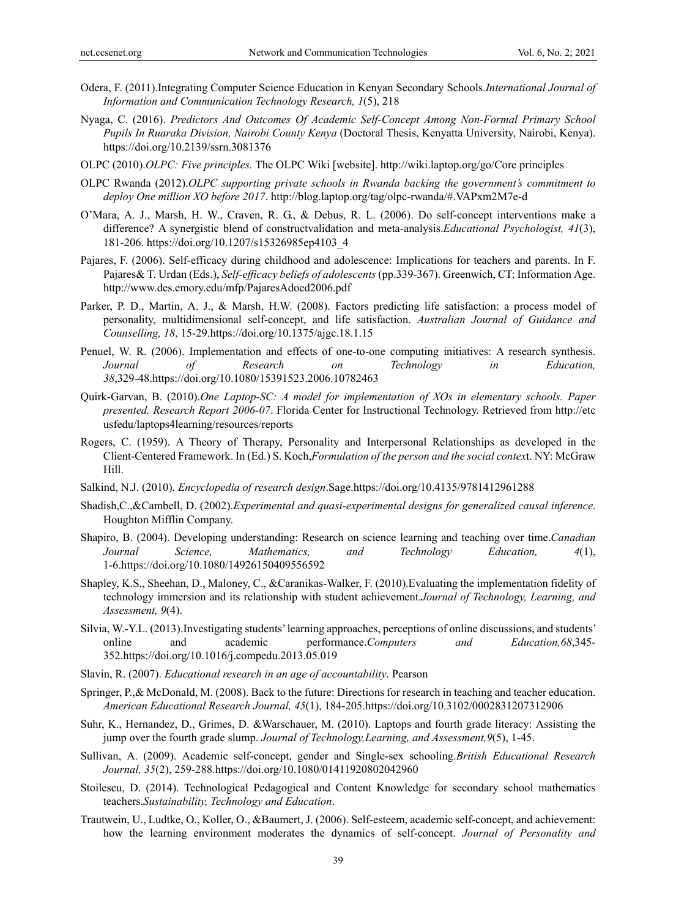- Odera, F. (2011).Integrating Computer Science Education in Kenyan Secondary Schools.*International Journal of Information and Communication Technology Research, 1*(5), 218
- Nyaga, C. (2016). *Predictors And Outcomes Of Academic Self-Concept Among Non-Formal Primary School Pupils In Ruaraka Division, Nairobi County Kenya* (Doctoral Thesis, Kenyatta University, Nairobi, Kenya). https://doi.org/10.2139/ssrn.3081376
- OLPC (2010).*OLPC: Five principles.* The OLPC Wiki [website]. http://wiki.laptop.org/go/Core principles
- OLPC Rwanda (2012).*OLPC supporting private schools in Rwanda backing the government's commitment to deploy One million XO before 2017*. http://blog.laptop.org/tag/olpc-rwanda/#.VAPxm2M7e-d
- O'Mara, A. J., Marsh, H. W., Craven, R. G., & Debus, R. L. (2006). Do self-concept interventions make a difference? A synergistic blend of constructvalidation and meta-analysis.*Educational Psychologist, 41*(3), 181-206. https://doi.org/10.1207/s15326985ep4103\_4
- Pajares, F. (2006). Self-efficacy during childhood and adolescence: Implications for teachers and parents. In F. Pajares& T. Urdan (Eds.), *Self-efficacy beliefs of adolescents* (pp.339-367). Greenwich, CT: Information Age. http://www.des.emory.edu/mfp/PajaresAdoed2006.pdf
- Parker, P. D., Martin, A. J., & Marsh, H.W. (2008). Factors predicting life satisfaction: a process model of personality, multidimensional self-concept, and life satisfaction. *Australian Journal of Guidance and Counselling, 18*, 15-29.https://doi.org/10.1375/ajgc.18.1.15
- Penuel, W. R. (2006). Implementation and effects of one-to-one computing initiatives: A research synthesis. *Journal of Research on Technology in Education, 38*,329-48.https://doi.org/10.1080/15391523.2006.10782463
- Quirk-Garvan, B. (2010).*One Laptop-SC: A model for implementation of XOs in elementary schools. Paper presented. Research Report 2006-07*. Florida Center for Instructional Technology. Retrieved from http://etc usfedu/laptops4learning/resources/reports
- Rogers, C. (1959). A Theory of Therapy, Personality and Interpersonal Relationships as developed in the Client-Centered Framework. In (Ed.) S. Koch,*Formulation of the person and the social contex*t. NY: McGraw Hill.
- Salkind, N.J. (2010). *Encyclopedia of research design*.Sage.https://doi.org/10.4135/9781412961288
- Shadish,C.,&Cambell, D. (2002).*Experimental and quasi-experimental designs for generalized causal inference*. Houghton Mifflin Company.
- Shapiro, B. (2004). Developing understanding: Research on science learning and teaching over time.*Canadian Journal Science, Mathematics, and Technology Education, 4*(1), 1-6.https://doi.org/10.1080/14926150409556592
- Shapley, K.S., Sheehan, D., Maloney, C., &Caranikas-Walker, F. (2010).Evaluating the implementation fidelity of technology immersion and its relationship with student achievement.*Journal of Technology, Learning, and Assessment, 9*(4).
- Silvia, W.-Y.L. (2013).Investigating students' learning approaches, perceptions of online discussions, and students' online and academic performance.*Computers and Education,68*,345- 352.https://doi.org/10.1016/j.compedu.2013.05.019
- Slavin, R. (2007). *Educational research in an age of accountability*. Pearson
- Springer, P.,& McDonald, M. (2008). Back to the future: Directions for research in teaching and teacher education. *American Educational Research Journal, 45*(1), 184-205.https://doi.org/10.3102/0002831207312906
- Suhr, K., Hernandez, D., Grimes, D. &Warschauer, M. (2010). Laptops and fourth grade literacy: Assisting the jump over the fourth grade slump. *Journal of Technology,Learning, and Assessment,9*(5), 1-45.
- Sullivan, A. (2009). Academic self-concept, gender and Single-sex schooling.*British Educational Research Journal, 35*(2), 259-288.https://doi.org/10.1080/01411920802042960
- Stoilescu, D. (2014). Technological Pedagogical and Content Knowledge for secondary school mathematics teachers.*Sustainability, Technology and Education*.
- Trautwein, U., Ludtke, O., Koller, O., &Baumert, J. (2006). Self-esteem, academic self-concept, and achievement: how the learning environment moderates the dynamics of self-concept. *Journal of Personality and*